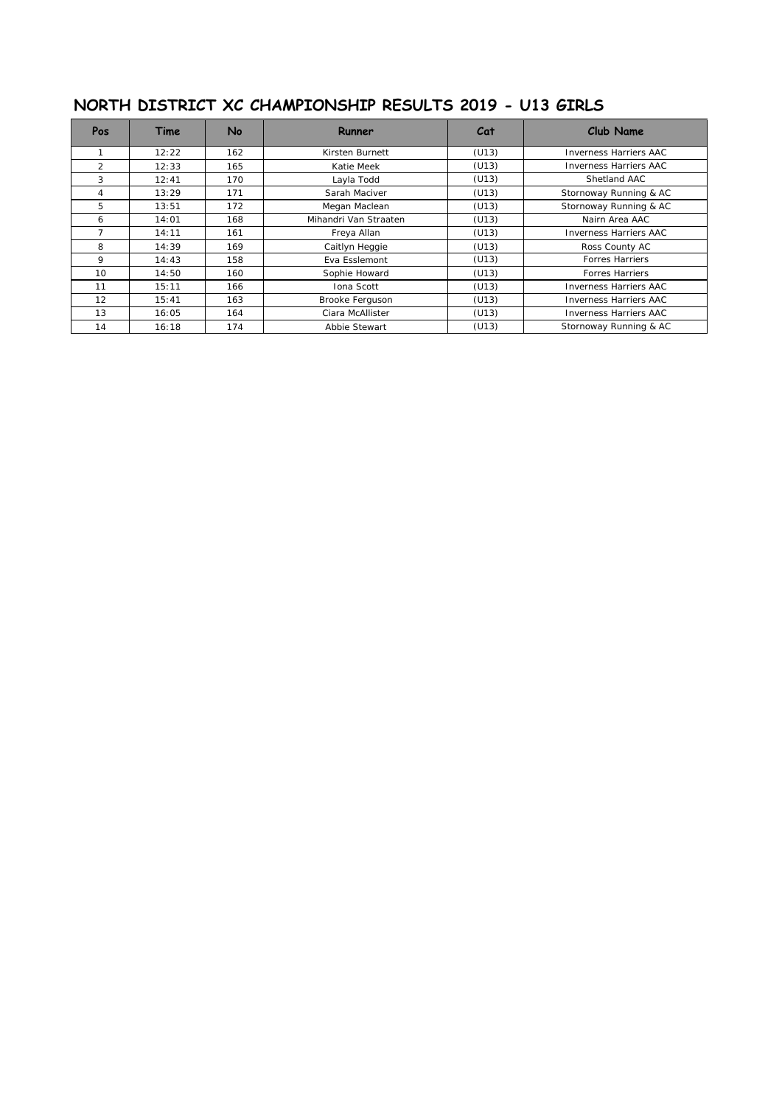## **NORTH DISTRICT XC CHAMPIONSHIP RESULTS 2019 - U13 GIRLS**

| <b>Pos</b>     | Time  | No  | Runner                | Cat   | Club Name                     |
|----------------|-------|-----|-----------------------|-------|-------------------------------|
|                | 12:22 | 162 | Kirsten Burnett       | (U13) | <b>Inverness Harriers AAC</b> |
| $\mathcal{P}$  | 12:33 | 165 | Katie Meek            | (U13) | <b>Inverness Harriers AAC</b> |
| 3              | 12:41 | 170 | Layla Todd            | (U13) | Shetland AAC                  |
| 4              | 13:29 | 171 | Sarah Maciver         | (U13) | Stornoway Running & AC        |
| 5              | 13:51 | 172 | Megan Maclean         | (U13) | Stornoway Running & AC        |
| 6              | 14:01 | 168 | Mihandri Van Straaten | (U13) | Nairn Area AAC                |
| $\overline{7}$ | 14:11 | 161 | Freya Allan           | (U13) | <b>Inverness Harriers AAC</b> |
| 8              | 14:39 | 169 | Caitlyn Heggie        | (U13) | Ross County AC                |
| $\mathsf{Q}$   | 14:43 | 158 | <b>Fva Esslemont</b>  | (U13) | <b>Forres Harriers</b>        |
| 10             | 14:50 | 160 | Sophie Howard         | (U13) | <b>Forres Harriers</b>        |
| 11             | 15:11 | 166 | Iona Scott            | (U13) | <b>Inverness Harriers AAC</b> |
| 12             | 15:41 | 163 | Brooke Ferguson       | (U13) | <b>Inverness Harriers AAC</b> |
| 13             | 16:05 | 164 | Ciara McAllister      | (U13) | <b>Inverness Harriers AAC</b> |
| 14             | 16:18 | 174 | Abbie Stewart         | (U13) | Stornoway Running & AC        |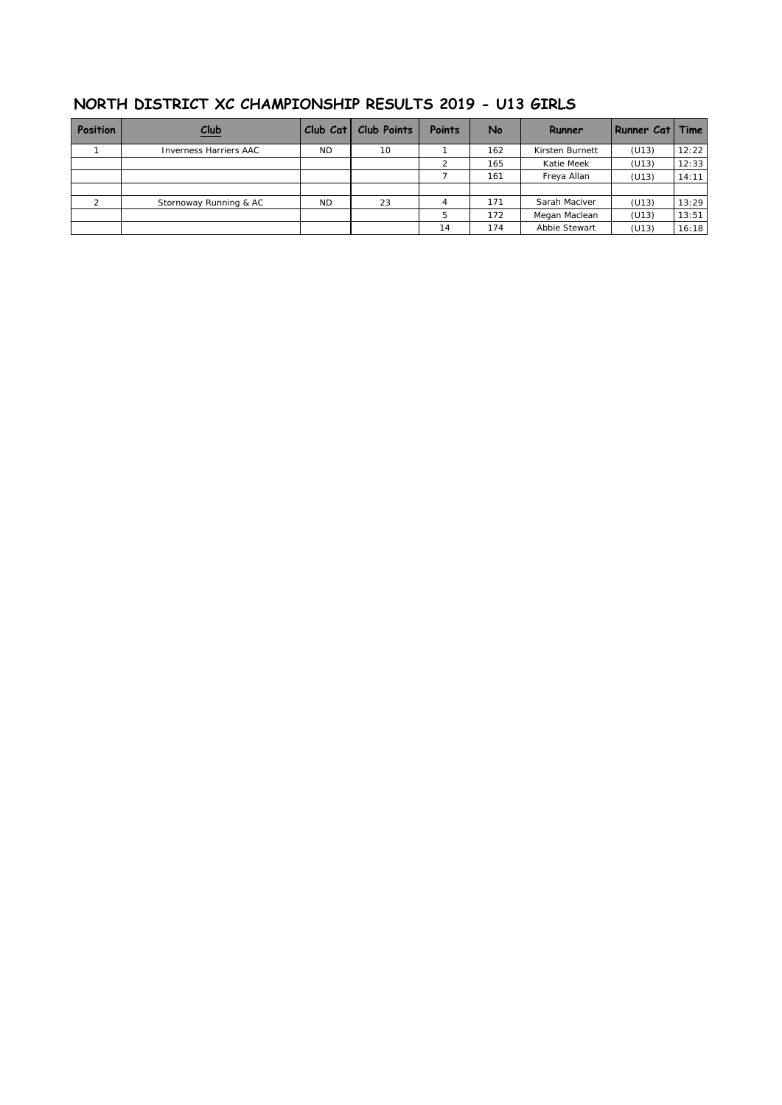| Position | Club                   | $Club$ $Cat$ | <b>Club Points</b> | <b>Points</b> | No  | Runner          | Runner Cat   Time |       |
|----------|------------------------|--------------|--------------------|---------------|-----|-----------------|-------------------|-------|
|          | Inverness Harriers AAC | <b>ND</b>    | 10                 |               | 162 | Kirsten Burnett | (U13)             | 12:22 |
|          |                        |              |                    |               | 165 | Katie Meek      | (U13)             | 12:33 |
|          |                        |              |                    |               | 161 | Freya Allan     | (U13)             | 14:11 |
|          |                        |              |                    |               |     |                 |                   |       |
|          | Stornoway Running & AC | <b>ND</b>    | 23                 |               | 171 | Sarah Maciver   | (U13)             | 13:29 |
|          |                        |              |                    | 5             | 172 | Megan Maclean   | (U13)             | 13:51 |
|          |                        |              |                    | 14            | 174 | Abbie Stewart   | (U13)             | 16:18 |

### **NORTH DISTRICT XC CHAMPIONSHIP RESULTS 2019 - U13 GIRLS**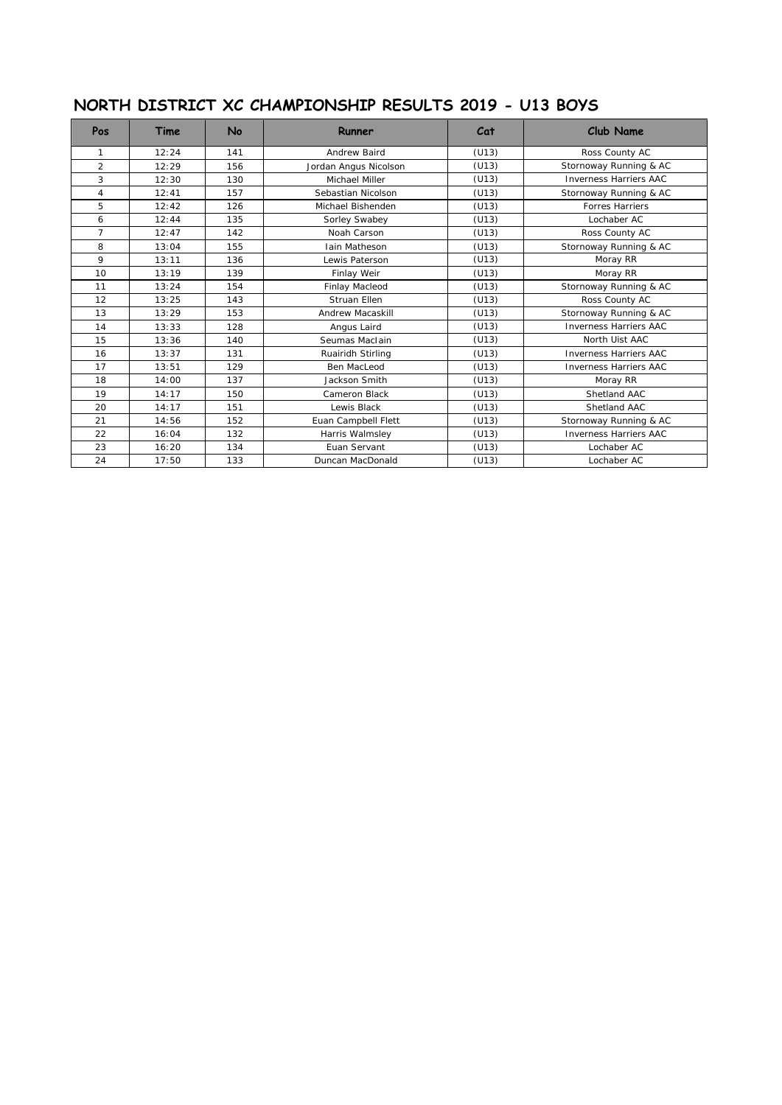# **NORTH DISTRICT XC CHAMPIONSHIP RESULTS 2019 - U13 BOYS**

| Pos            | Time  | <b>No</b> | Runner                   | Cat                             | <b>Club Name</b>              |
|----------------|-------|-----------|--------------------------|---------------------------------|-------------------------------|
| 1              | 12:24 | 141       | Andrew Baird             | (U13)                           | Ross County AC                |
| $\overline{2}$ | 12:29 | 156       | Jordan Angus Nicolson    | Stornoway Running & AC<br>(U13) |                               |
| 3              | 12:30 | 130       | Michael Miller           | (U13)                           | <b>Inverness Harriers AAC</b> |
| $\overline{4}$ | 12:41 | 157       | Sebastian Nicolson       | (U13)                           | Stornoway Running & AC        |
| 5              | 12:42 | 126       | Michael Bishenden        | (U13)                           | <b>Forres Harriers</b>        |
| 6              | 12:44 | 135       | Sorley Swabey            | (U13)                           | Lochaber AC                   |
| $\overline{7}$ | 12:47 | 142       | Noah Carson              | (U13)                           | Ross County AC                |
| 8              | 13:04 | 155       | <b>Jain Matheson</b>     | (U13)                           | Stornoway Running & AC        |
| 9              | 13:11 | 136       | Lewis Paterson           | (U13)                           | Moray RR                      |
| 10             | 13:19 | 139       | Finlay Weir              | (U13)                           | Moray RR                      |
| 11             | 13:24 | 154       | Finlay Macleod           | (U13)                           | Stornoway Running & AC        |
| 12             | 13:25 | 143       | Struan Ellen             | (U13)                           | Ross County AC                |
| 13             | 13:29 | 153       | Andrew Macaskill         | (U13)                           | Stornoway Running & AC        |
| 14             | 13:33 | 128       | Angus Laird              | (U13)                           | <b>Inverness Harriers AAC</b> |
| 15             | 13:36 | 140       | Seumas Maclain           | (U13)                           | North Uist AAC                |
| 16             | 13:37 | 131       | Ruairidh Stirling        | (U13)                           | <b>Inverness Harriers AAC</b> |
| 17             | 13:51 | 129       | Ben MacLeod              | (U13)                           | <b>Inverness Harriers AAC</b> |
| 18             | 14:00 | 137       | Jackson Smith            | (U13)                           | Moray RR                      |
| 19             | 14:17 | 150       | Cameron Black            | (U13)                           | Shetland AAC                  |
| 20             | 14:17 | 151       | Lewis Black              | (U13)                           | Shetland AAC                  |
| 21             | 14:56 | 152       | Euan Campbell Flett      | (U13)                           | Stornoway Running & AC        |
| 22             | 16:04 | 132       | Harris Walmsley<br>(U13) |                                 | <b>Inverness Harriers AAC</b> |
| 23             | 16:20 | 134       | Euan Servant             | (U13)                           | Lochaber AC                   |
| 24             | 17:50 | 133       | Duncan MacDonald         | (U13)                           | Lochaber AC                   |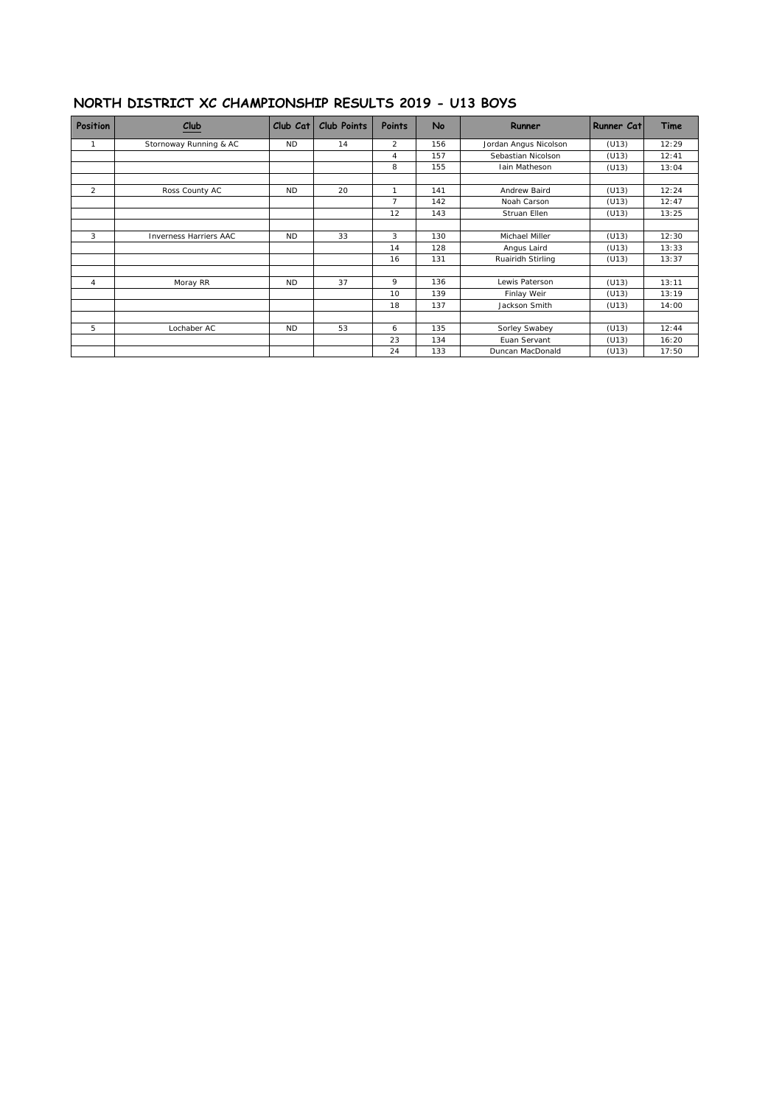#### **NORTH DISTRICT XC CHAMPIONSHIP RESULTS 2019 - U13 BOYS**

| Position       | $_{\text{Club}}$              | Club Cat  | <b>Club Points</b> | Points         | No  | Runner                | <b>Runner Cat</b> | Time  |
|----------------|-------------------------------|-----------|--------------------|----------------|-----|-----------------------|-------------------|-------|
| -1             | Stornoway Running & AC        | <b>ND</b> | 14                 | $\overline{2}$ | 156 | Jordan Angus Nicolson | (U13)             | 12:29 |
|                |                               |           |                    | 4              | 157 | Sebastian Nicolson    | (U13)             | 12:41 |
|                |                               |           |                    | 8              | 155 | <b>Iain Matheson</b>  | (U13)             | 13:04 |
| 2              | Ross County AC                | <b>ND</b> | 20                 |                | 141 | Andrew Baird          | (U13)             | 12:24 |
|                |                               |           |                    | $\overline{7}$ | 142 | Noah Carson           | (U13)             | 12:47 |
|                |                               |           |                    | 12             | 143 | Struan Ellen          | (U13)             | 13:25 |
| 3              | <b>Inverness Harriers AAC</b> | <b>ND</b> | 33                 | 3              | 130 | Michael Miller        | (U13)             | 12:30 |
|                |                               |           |                    | 14             | 128 | Angus Laird           | (U13)             | 13:33 |
|                |                               |           |                    | 16             | 131 | Ruairidh Stirling     | (U13)             | 13:37 |
| $\overline{4}$ | Moray RR                      | <b>ND</b> | 37                 | 9              | 136 | Lewis Paterson        | (U13)             | 13:11 |
|                |                               |           |                    | 10             | 139 | Finlay Weir           | (U13)             | 13:19 |
|                |                               |           |                    | 18             | 137 | Jackson Smith         | (U13)             | 14:00 |
| 5              | Lochaber AC                   | <b>ND</b> | 53                 | 6              | 135 | Sorley Swabey         | (U13)             | 12:44 |
|                |                               |           |                    | 23             | 134 | Euan Servant          | (U13)             | 16:20 |
|                |                               |           |                    | 24             | 133 | Duncan MacDonald      | (U13)             | 17:50 |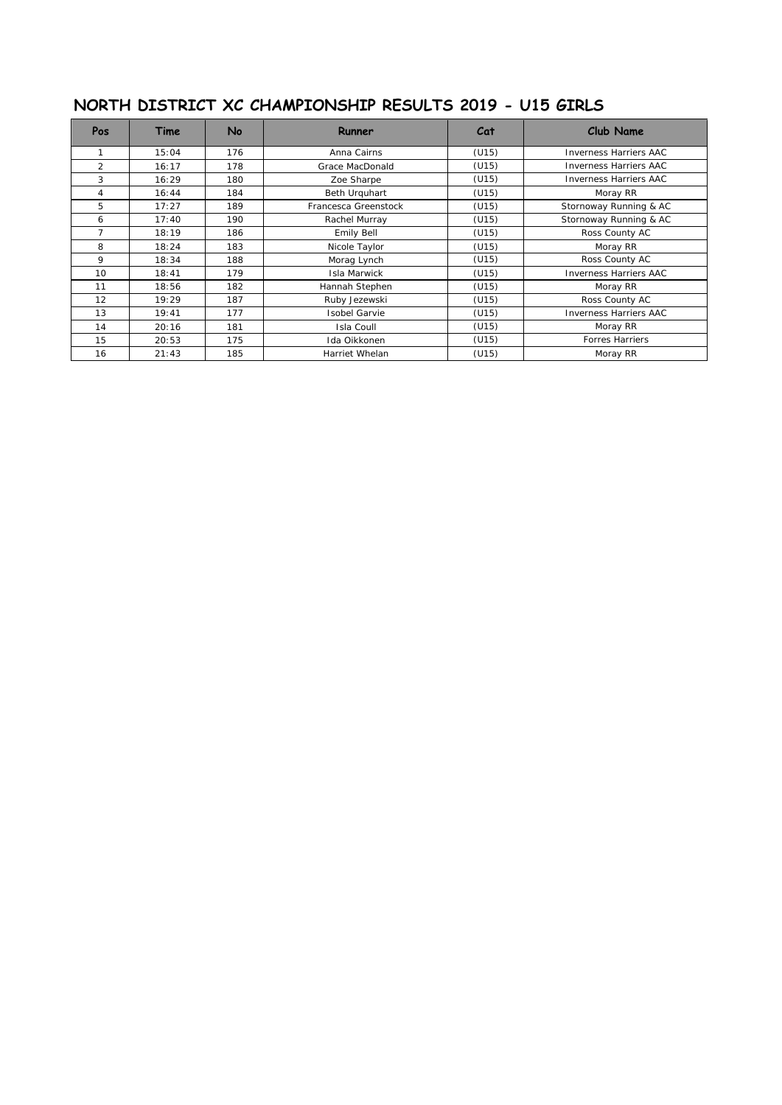# **NORTH DISTRICT XC CHAMPIONSHIP RESULTS 2019 - U15 GIRLS**

| <b>Pos</b>     | Time  | No  | Runner                | Cat   | <b>Club Name</b>              |
|----------------|-------|-----|-----------------------|-------|-------------------------------|
|                | 15:04 | 176 | Anna Cairns           | (U15) | <b>Inverness Harriers AAC</b> |
| $\overline{2}$ | 16:17 | 178 | Grace MacDonald       | (U15) | <b>Inverness Harriers AAC</b> |
| 3              | 16:29 | 180 | Zoe Sharpe            | (U15) | <b>Inverness Harriers AAC</b> |
| 4              | 16:44 | 184 | Beth Urquhart         | (U15) | Moray RR                      |
| 5              | 17:27 | 189 | Francesca Greenstock  | (U15) | Stornoway Running & AC        |
| 6              | 17:40 | 190 | Rachel Murray         | (U15) | Stornoway Running & AC        |
| $\overline{7}$ | 18:19 | 186 | Emily Bell            | (U15) | Ross County AC                |
| 8              | 18:24 | 183 | Nicole Taylor         | (U15) | Moray RR                      |
| 9              | 18:34 | 188 | Morag Lynch           | (U15) | Ross County AC                |
| 10             | 18:41 | 179 | Isla Marwick          | (U15) | <b>Inverness Harriers AAC</b> |
| 11             | 18:56 | 182 | Hannah Stephen        | (U15) | Moray RR                      |
| 12             | 19:29 | 187 | Ruby Jezewski         | (U15) | Ross County AC                |
| 13             | 19:41 | 177 | <b>Isobel Garvie</b>  | (U15) | <b>Inverness Harriers AAC</b> |
| 14             | 20:16 | 181 | Isla Coull            | (U15) | Moray RR                      |
| 15             | 20:53 | 175 | Ida Oikkonen<br>(U15) |       | <b>Forres Harriers</b>        |
| 16             | 21:43 | 185 | Harriet Whelan        | (U15) | Moray RR                      |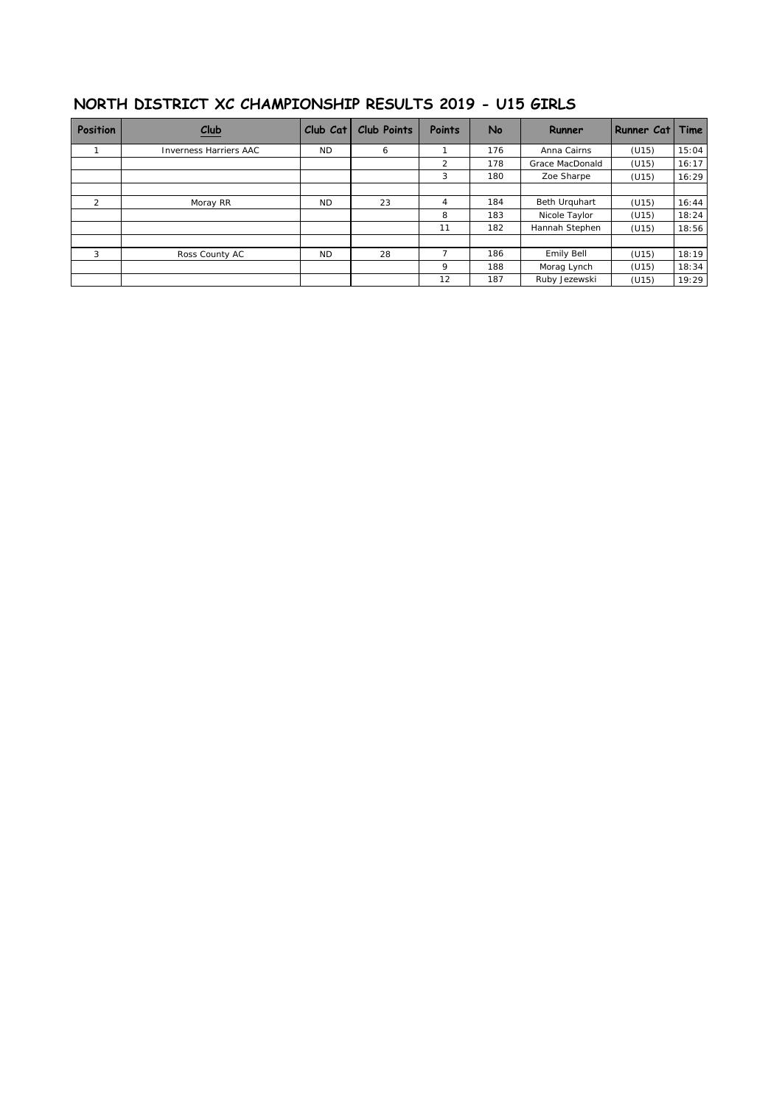| NORTH DISTRICT XC CHAMPIONSHIP RESULTS 2019 - U15 GIRLS |  |
|---------------------------------------------------------|--|
|---------------------------------------------------------|--|

| <b>Position</b> | Club                          | Club Cat  | <b>Club Points</b> | <b>Points</b>  | No  | Runner          | Runner Cat   Time |       |
|-----------------|-------------------------------|-----------|--------------------|----------------|-----|-----------------|-------------------|-------|
|                 | <b>Inverness Harriers AAC</b> | <b>ND</b> | 6                  |                | 176 | Anna Cairns     | (U15)             | 15:04 |
|                 |                               |           |                    | $\overline{2}$ | 178 | Grace MacDonald | (U15)             | 16:17 |
|                 |                               |           |                    | 3              | 180 | Zoe Sharpe      | (U15)             | 16:29 |
|                 |                               |           |                    |                |     |                 |                   |       |
| $\overline{2}$  | Moray RR                      | <b>ND</b> | 23                 | 4              | 184 | Beth Urguhart   | (U15)             | 16:44 |
|                 |                               |           |                    | 8              | 183 | Nicole Taylor   | (U15)             | 18:24 |
|                 |                               |           |                    | 11             | 182 | Hannah Stephen  | (U15)             | 18:56 |
| 3               | Ross County AC                | <b>ND</b> | 28                 |                | 186 | Emily Bell      | (U15)             | 18:19 |
|                 |                               |           |                    | 9              | 188 | Morag Lynch     | (U15)             | 18:34 |
|                 |                               |           |                    | 12             | 187 | Ruby Jezewski   | (U15)             | 19:29 |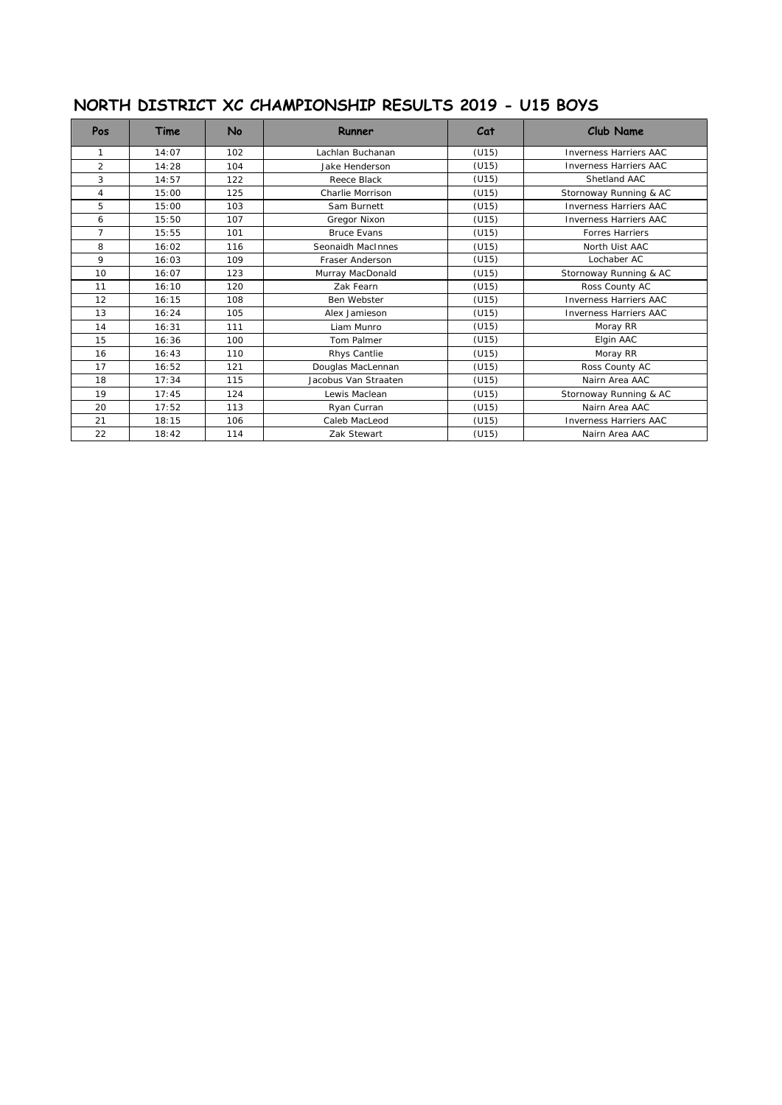# **NORTH DISTRICT XC CHAMPIONSHIP RESULTS 2019 - U15 BOYS**

| Pos            | Time  | <b>No</b> | Runner                 | Cat   | <b>Club Name</b>              |
|----------------|-------|-----------|------------------------|-------|-------------------------------|
| 1              | 14:07 | 102       | Lachlan Buchanan       | (U15) | <b>Inverness Harriers AAC</b> |
| 2              | 14:28 | 104       | Jake Henderson         | (U15) | <b>Inverness Harriers AAC</b> |
| 3              | 14:57 | 122       | Reece Black            | (U15) | Shetland AAC                  |
| 4              | 15:00 | 125       | Charlie Morrison       | (U15) | Stornoway Running & AC        |
| 5              | 15:00 | 103       | Sam Burnett            | (U15) | <b>Inverness Harriers AAC</b> |
| 6              | 15:50 | 107       | Gregor Nixon           | (U15) | <b>Inverness Harriers AAC</b> |
| $\overline{7}$ | 15:55 | 101       | <b>Bruce Evans</b>     | (U15) | <b>Forres Harriers</b>        |
| 8              | 16:02 | 116       | Seonaidh MacInnes      | (U15) | North Uist AAC                |
| 9              | 16:03 | 109       | Fraser Anderson        | (U15) | Lochaber AC                   |
| 10             | 16:07 | 123       | Murray MacDonald       | (U15) | Stornoway Running & AC        |
| 11             | 16:10 | 120       | Zak Fearn              | (U15) | Ross County AC                |
| 12             | 16:15 | 108       | Ben Webster            | (U15) | <b>Inverness Harriers AAC</b> |
| 13             | 16:24 | 105       | Alex Jamieson          | (U15) | <b>Inverness Harriers AAC</b> |
| 14             | 16:31 | 111       | Liam Munro             | (U15) | Moray RR                      |
| 15             | 16:36 | 100       | Tom Palmer             | (U15) | Elgin AAC                     |
| 16             | 16:43 | 110       | Rhys Cantlie           | (U15) | Moray RR                      |
| 17             | 16:52 | 121       | Douglas MacLennan      | (U15) | Ross County AC                |
| 18             | 17:34 | 115       | Jacobus Van Straaten   | (U15) | Nairn Area AAC                |
| 19             | 17:45 | 124       | Lewis Maclean<br>(U15) |       | Stornoway Running & AC        |
| 20             | 17:52 | 113       | Ryan Curran<br>(U15)   |       | Nairn Area AAC                |
| 21             | 18:15 | 106       | Caleb MacLeod          | (U15) | <b>Inverness Harriers AAC</b> |
| 22             | 18:42 | 114       | Zak Stewart            | (U15) | Nairn Area AAC                |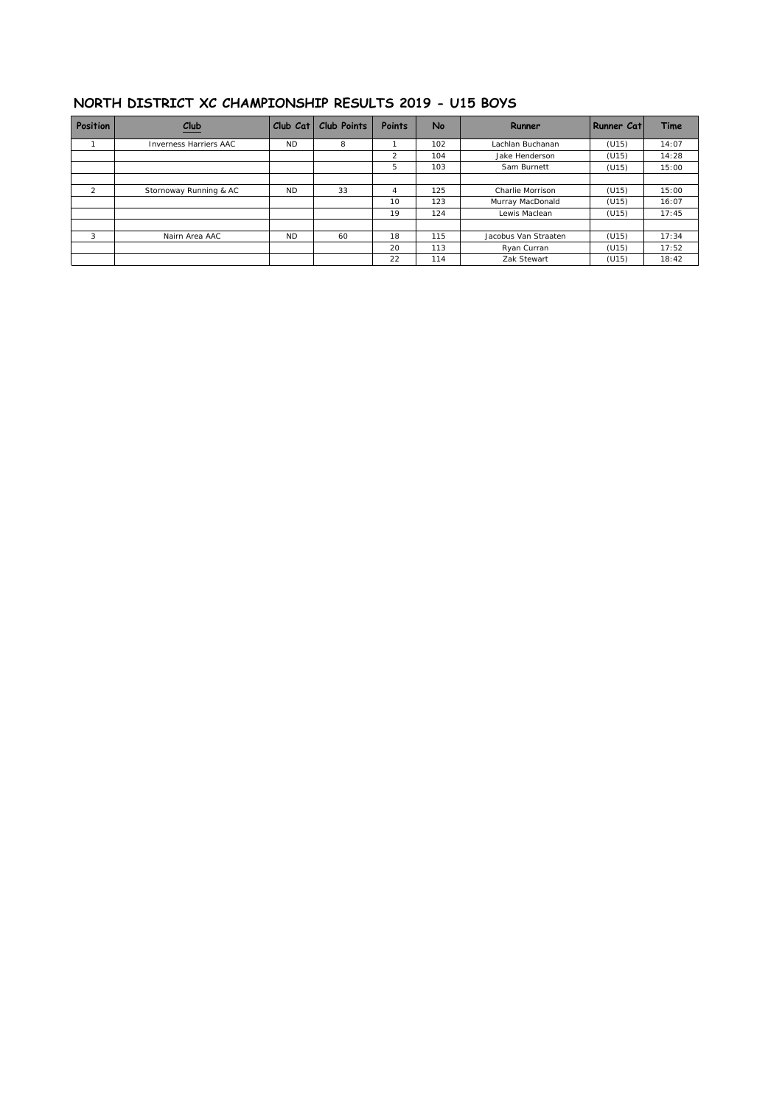#### **NORTH DISTRICT XC CHAMPIONSHIP RESULTS 2019 - U15 BOYS**

| Position | Club                   | Club Cat  | Club Points | Points | No  | Runner               | Runner Cat | Time  |
|----------|------------------------|-----------|-------------|--------|-----|----------------------|------------|-------|
|          | Inverness Harriers AAC | <b>ND</b> | 8           |        | 102 | Lachlan Buchanan     | (U15)      | 14:07 |
|          |                        |           |             | 2      | 104 | Jake Henderson       | (U15)      | 14:28 |
|          |                        |           |             | 5      | 103 | Sam Burnett          | (U15)      | 15:00 |
|          |                        |           |             |        |     |                      |            |       |
| $\sim$   | Stornoway Running & AC | <b>ND</b> | 33          | 4      | 125 | Charlie Morrison     | (U15)      | 15:00 |
|          |                        |           |             | 10     | 123 | Murray MacDonald     | (U15)      | 16:07 |
|          |                        |           |             | 19     | 124 | Lewis Maclean        | (U15)      | 17:45 |
|          |                        |           |             |        |     |                      |            |       |
| 3        | Nairn Area AAC         | <b>ND</b> | 60          | 18     | 115 | Jacobus Van Straaten | (U15)      | 17:34 |
|          |                        |           |             | 20     | 113 | Ryan Curran          | (U15)      | 17:52 |
|          |                        |           |             | 22     | 114 | Zak Stewart          | (U15)      | 18:42 |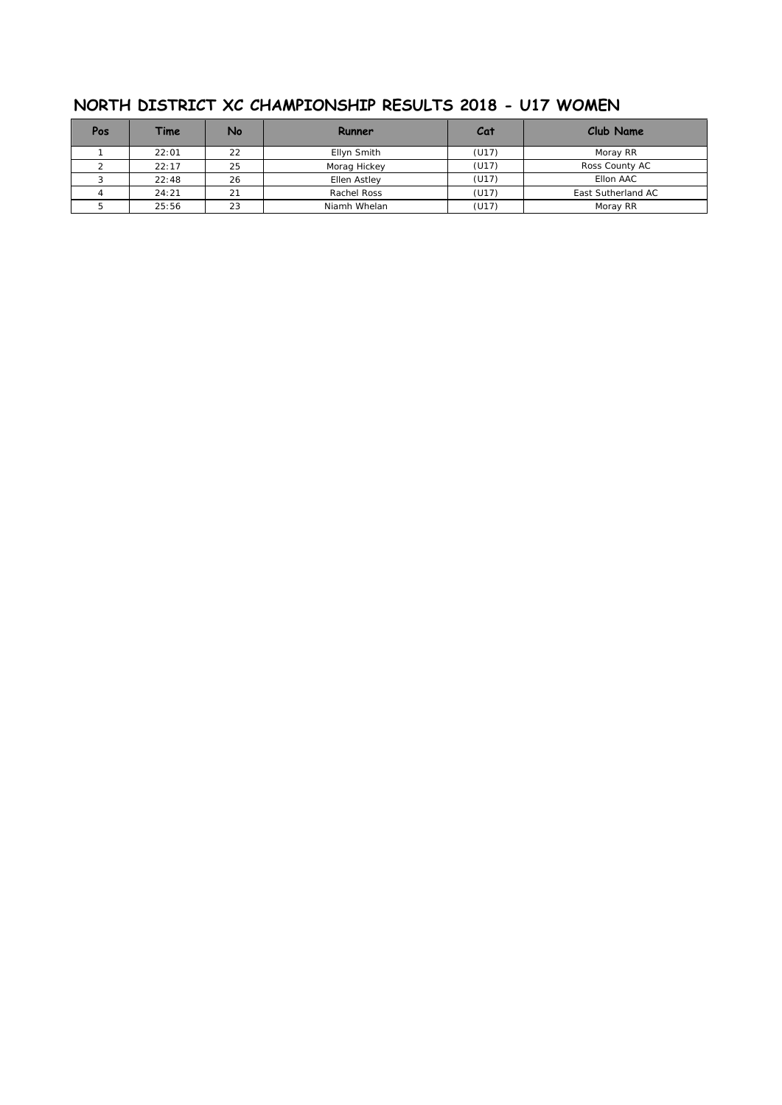| Pos | Time  | No | Runner       | Cat   | Club Name          |
|-----|-------|----|--------------|-------|--------------------|
|     | 22:01 | 22 | Ellyn Smith  | (U17) | Moray RR           |
|     | 22:17 | 25 | Morag Hickey | (U17) | Ross County AC     |
|     | 22:48 | 26 | Ellen Astley | (U17) | Ellon AAC          |
|     | 24:21 | 21 | Rachel Ross  | (U17) | East Sutherland AC |
|     | 25:56 | 23 | Niamh Whelan | (U17) | Moray RR           |

## **NORTH DISTRICT XC CHAMPIONSHIP RESULTS 2018 - U17 WOMEN**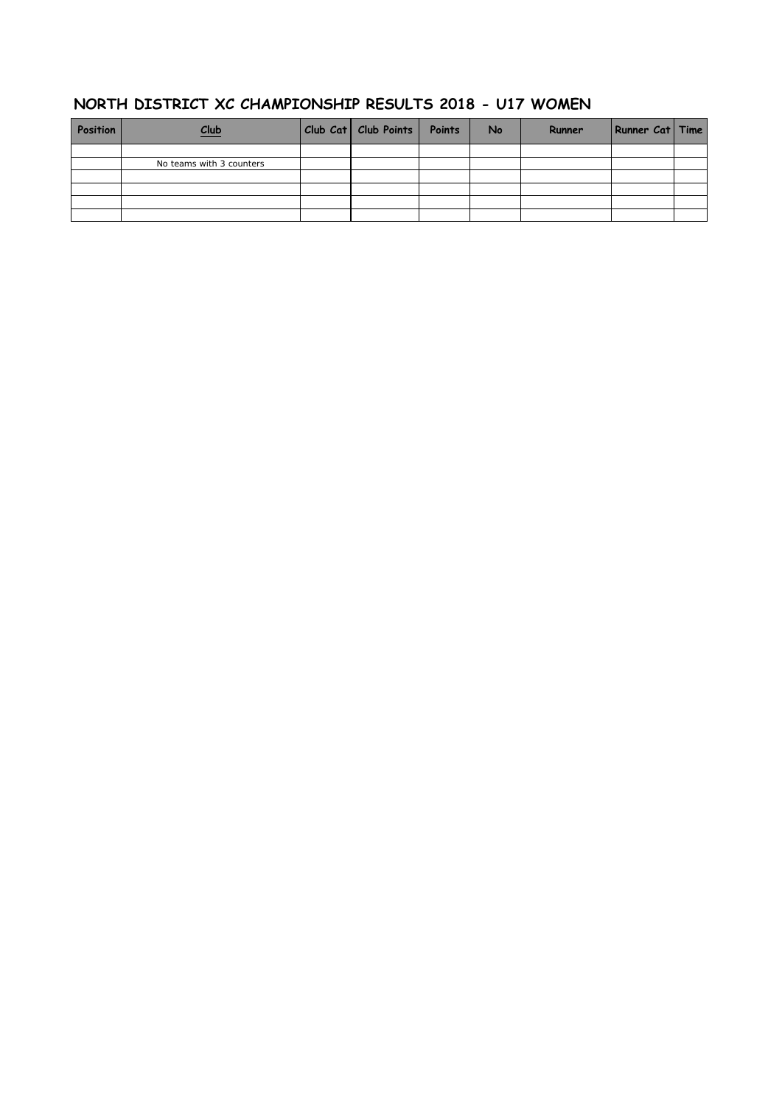## **NORTH DISTRICT XC CHAMPIONSHIP RESULTS 2018 - U17 WOMEN**

| Position | Club                     | Club Cat   Club Points   Points | <b>No</b> | Runner | Runner Cat   Time |  |
|----------|--------------------------|---------------------------------|-----------|--------|-------------------|--|
|          |                          |                                 |           |        |                   |  |
|          | No teams with 3 counters |                                 |           |        |                   |  |
|          |                          |                                 |           |        |                   |  |
|          |                          |                                 |           |        |                   |  |
|          |                          |                                 |           |        |                   |  |
|          |                          |                                 |           |        |                   |  |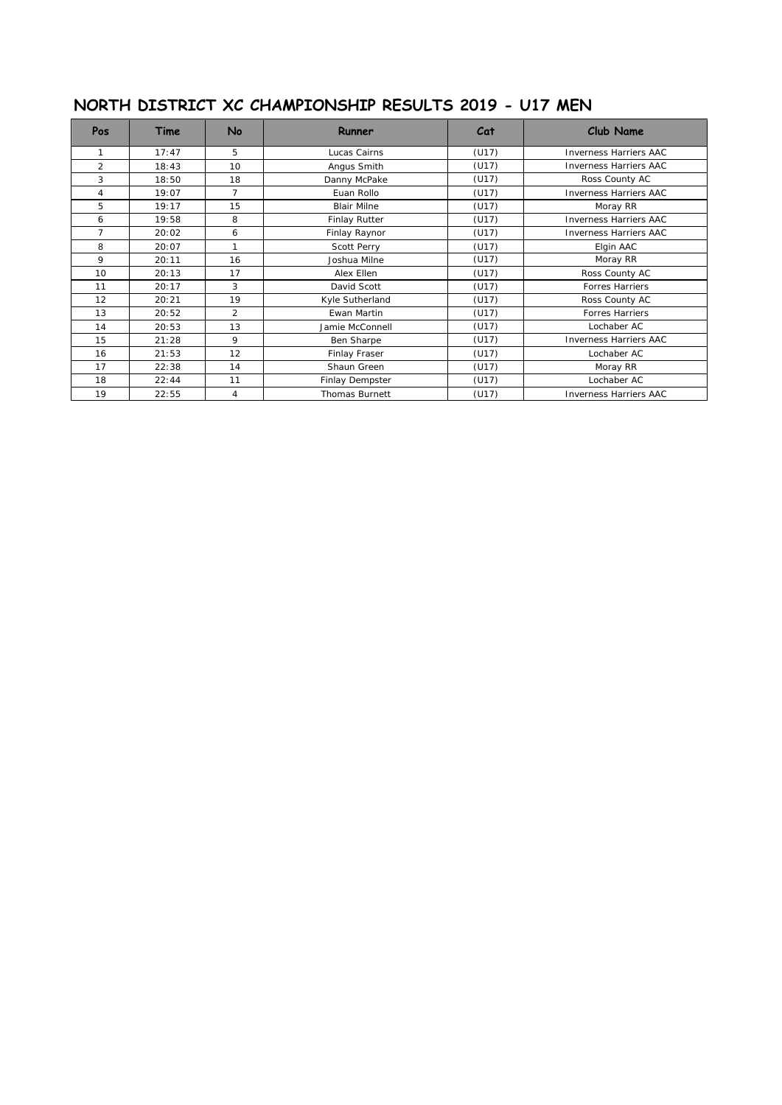# **NORTH DISTRICT XC CHAMPIONSHIP RESULTS 2019 - U17 MEN**

| Pos            | Time  | No             | Runner                | Cat   | <b>Club Name</b>              |
|----------------|-------|----------------|-----------------------|-------|-------------------------------|
| 1              | 17:47 | 5              | Lucas Cairns          | (U17) | Inverness Harriers AAC        |
| $\overline{2}$ | 18:43 | 10             | Angus Smith           | (U17) | <b>Inverness Harriers AAC</b> |
| 3              | 18:50 | 18             | Danny McPake          | (U17) | Ross County AC                |
| 4              | 19:07 | $\overline{7}$ | Euan Rollo            | (U17) | <b>Inverness Harriers AAC</b> |
| 5              | 19:17 | 15             | <b>Blair Milne</b>    | (U17) | Moray RR                      |
| 6              | 19:58 | 8              | Finlay Rutter         | (U17) | <b>Inverness Harriers AAC</b> |
| $\overline{7}$ | 20:02 | 6              | Finlay Raynor         | (U17) | <b>Inverness Harriers AAC</b> |
| 8              | 20:07 |                | Scott Perry           | (U17) | Elgin AAC                     |
| 9              | 20:11 | 16             | Joshua Milne          | (U17) | Moray RR                      |
| 10             | 20:13 | 17             | Alex Ellen            | (U17) | Ross County AC                |
| 11             | 20:17 | 3              | David Scott           | (U17) | <b>Forres Harriers</b>        |
| 12             | 20:21 | 19             | Kyle Sutherland       | (U17) | Ross County AC                |
| 13             | 20:52 | $\mathfrak{D}$ | Ewan Martin           | (U17) | <b>Forres Harriers</b>        |
| 14             | 20:53 | 13             | Jamie McConnell       | (U17) | Lochaber AC                   |
| 15             | 21:28 | 9              | Ben Sharpe            | (U17) | <b>Inverness Harriers AAC</b> |
| 16             | 21:53 | 12             | Finlay Fraser         | (U17) | Lochaber AC                   |
| 17             | 22:38 | 14             | Shaun Green           | (U17) |                               |
| 18             | 22:44 | 11             | Finlay Dempster       | (U17) | Lochaber AC                   |
| 19             | 22:55 | 4              | <b>Thomas Burnett</b> | (U17) | <b>Inverness Harriers AAC</b> |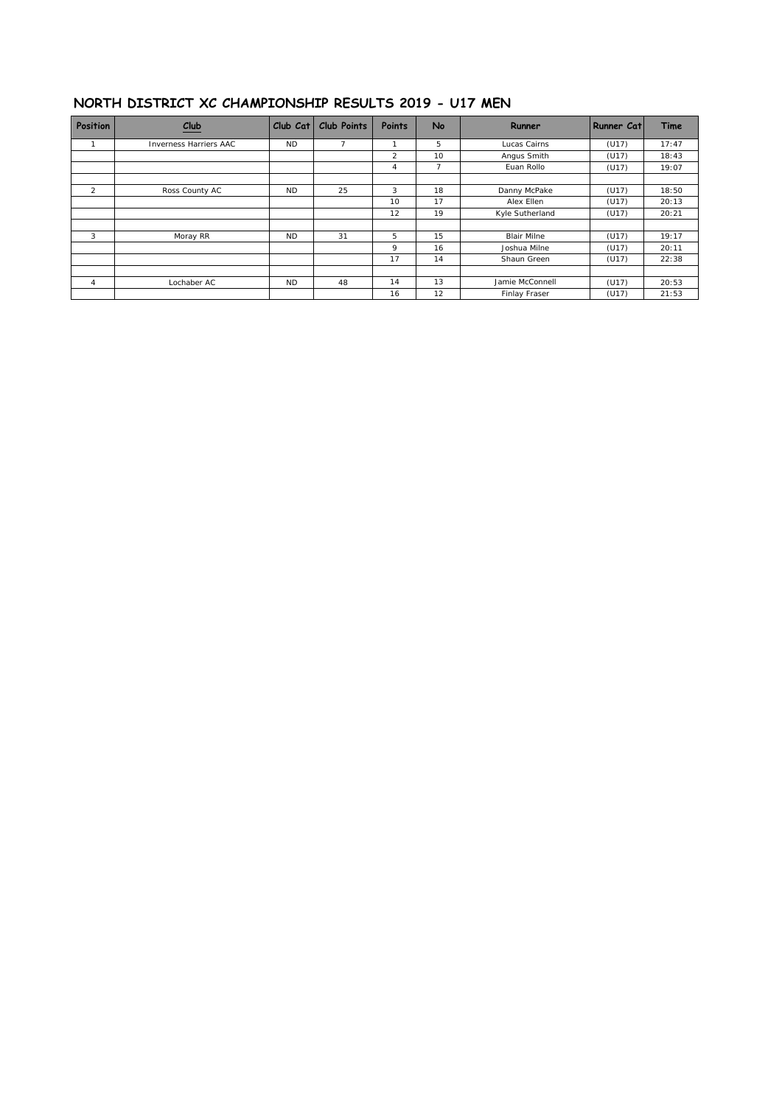#### **NORTH DISTRICT XC CHAMPIONSHIP RESULTS 2019 - U17 MEN**

| <b>Position</b> | $Club$                        | Club Cat  | Club Points | Points | <b>No</b>      | Runner             | Runner Cat | Time  |
|-----------------|-------------------------------|-----------|-------------|--------|----------------|--------------------|------------|-------|
|                 | <b>Inverness Harriers AAC</b> | <b>ND</b> |             |        | 5              | Lucas Cairns       | (U17)      | 17:47 |
|                 |                               |           |             | 2      | 10             | Angus Smith        | (U17)      | 18:43 |
|                 |                               |           |             | 4      | $\overline{7}$ | Euan Rollo         | (U17)      | 19:07 |
| 2               | Ross County AC                | <b>ND</b> | 25          | 3      | 18             | Danny McPake       | (U17)      | 18:50 |
|                 |                               |           |             | 10     | 17             | Alex Ellen         | (U17)      | 20:13 |
|                 |                               |           |             | 12     | 19             | Kyle Sutherland    | (U17)      | 20:21 |
| 3               | Moray RR                      | <b>ND</b> | 31          | 5      | 15             | <b>Blair Milne</b> | (U17)      | 19:17 |
|                 |                               |           |             | 9      | 16             | Joshua Milne       | (U17)      | 20:11 |
|                 |                               |           |             | 17     | 14             | Shaun Green        | (U17)      | 22:38 |
| $\overline{4}$  | Lochaber AC                   | <b>ND</b> | 48          | 14     | 13             | Jamie McConnell    | (U17)      | 20:53 |
|                 |                               |           |             | 16     | 12             | Finlay Fraser      | (U17)      | 21:53 |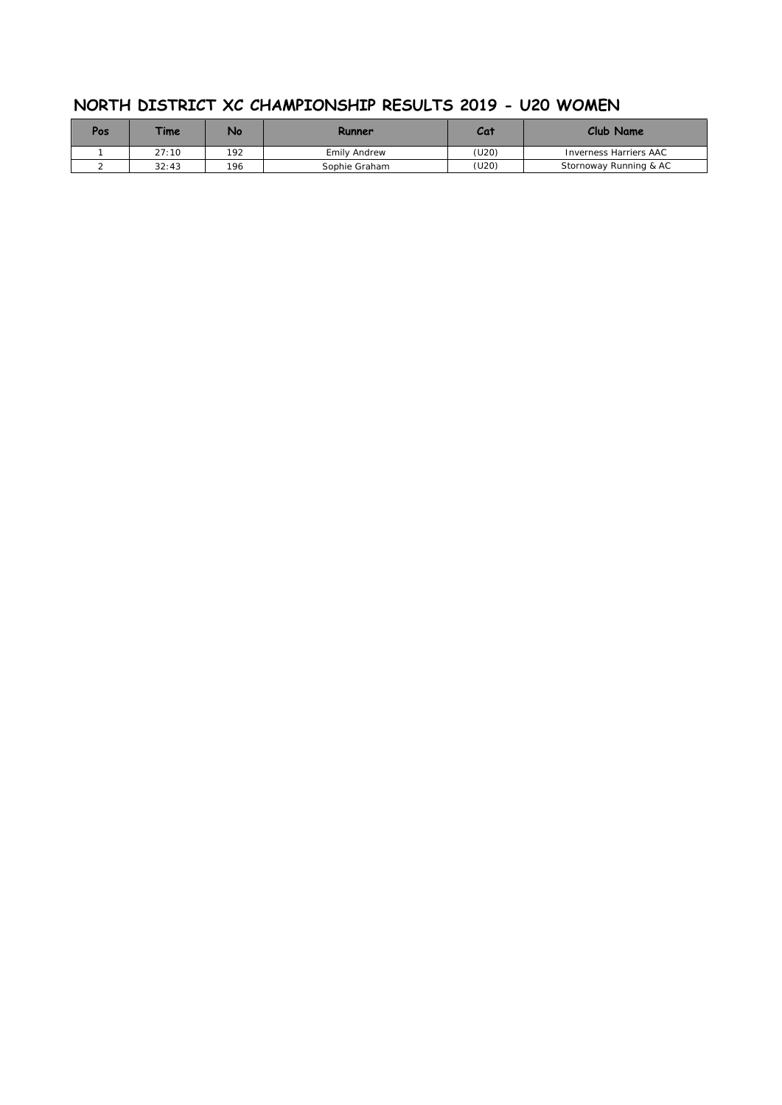| Pos | <b>Time</b> | Na  | Runner        | Cat   | Club Name              |
|-----|-------------|-----|---------------|-------|------------------------|
|     | 27:10       | 192 | Emily Andrew  | (U20) | Inverness Harriers AAC |
|     | 32:43       | 196 | Sophie Graham | (U20) | Stornoway Running & AC |

## **NORTH DISTRICT XC CHAMPIONSHIP RESULTS 2019 - U20 WOMEN**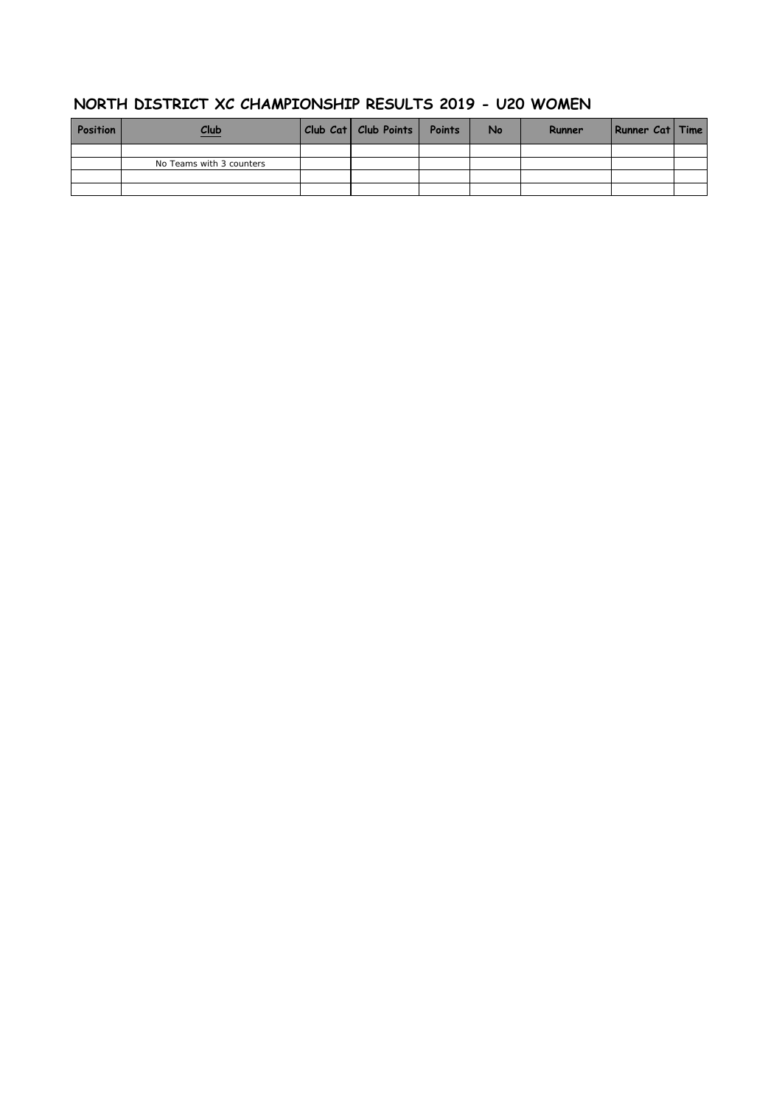| Position | Club                     | Club Cat   Club Points   Points | <b>No</b> | Runner | Runner Cat   Time |  |
|----------|--------------------------|---------------------------------|-----------|--------|-------------------|--|
|          |                          |                                 |           |        |                   |  |
|          | No Teams with 3 counters |                                 |           |        |                   |  |
|          |                          |                                 |           |        |                   |  |
|          |                          |                                 |           |        |                   |  |

### **NORTH DISTRICT XC CHAMPIONSHIP RESULTS 2019 - U20 WOMEN**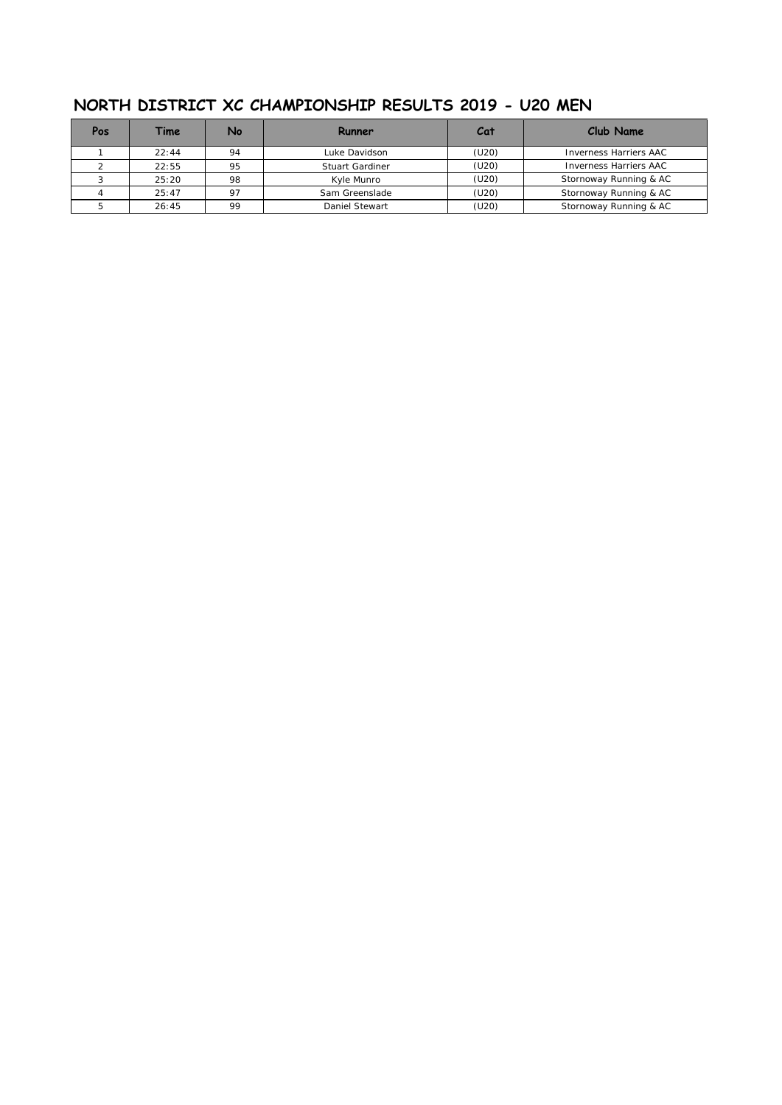| Pos | Time  | No             | Runner                 | Cat   | Club Name                     |
|-----|-------|----------------|------------------------|-------|-------------------------------|
|     | 22:44 | 94             | Luke Davidson          | (U20) | <b>Inverness Harriers AAC</b> |
|     | 22:55 | 95             | <b>Stuart Gardiner</b> | (U20) | <b>Inverness Harriers AAC</b> |
|     | 25:20 | 98             | Kyle Munro             | (U20) | Stornoway Running & AC        |
|     | 25:47 | O <sub>7</sub> | Sam Greenslade         | (U20) | Stornoway Running & AC        |
|     | 26:45 | 99             | Daniel Stewart         | (U20) | Stornoway Running & AC        |

## **NORTH DISTRICT XC CHAMPIONSHIP RESULTS 2019 - U20 MEN**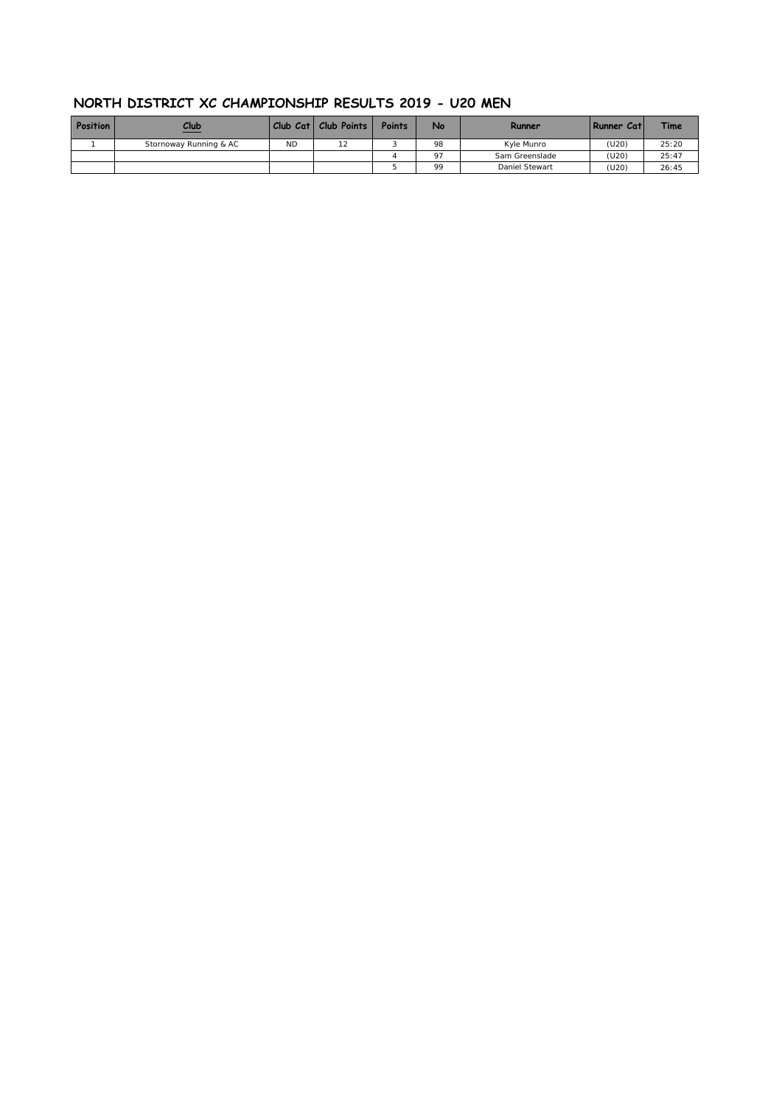#### **NORTH DISTRICT XC CHAMPIONSHIP RESULTS 2019 - U20 MEN**

| <b>Position</b> | Club<br>$\sim$         |           | Club Cat   Club Points | Points | No | Runner         | Runner Catl | <b>Time</b> |
|-----------------|------------------------|-----------|------------------------|--------|----|----------------|-------------|-------------|
|                 | Stornoway Running & AC | <b>ND</b> | 10                     |        | 98 | Kyle Munro     | (U20)       | 25:20       |
|                 |                        |           |                        |        | 97 | Sam Greenslade | (U20)       | 25:47       |
|                 |                        |           |                        |        | 99 | Daniel Stewart | (U20)       | 26:45       |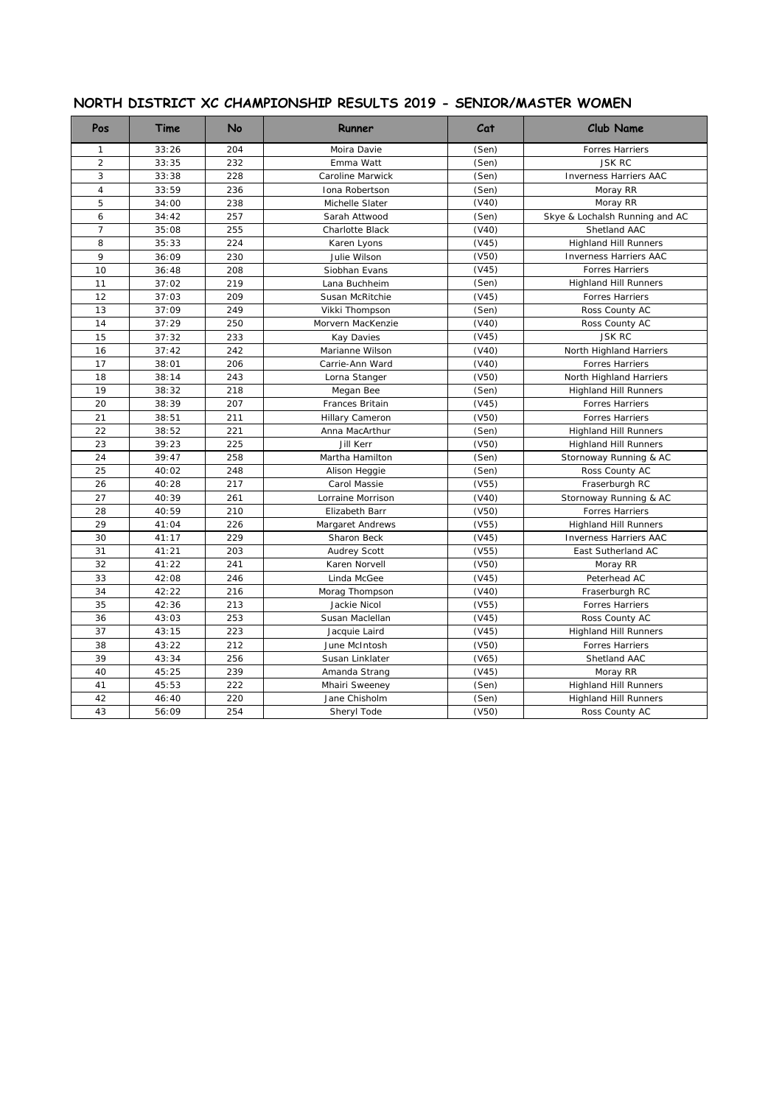| Pos            | Time  | No  | Runner              | Cat   | <b>Club Name</b>               |
|----------------|-------|-----|---------------------|-------|--------------------------------|
| $\mathbf{1}$   | 33:26 | 204 | Moira Davie         | (Sen) | Forres Harriers                |
| $\overline{2}$ | 33:35 | 232 | Emma Watt           | (Sen) | <b>JSK RC</b>                  |
| 3              | 33:38 | 228 | Caroline Marwick    | (Sen) | <b>Inverness Harriers AAC</b>  |
| $\sqrt{4}$     | 33:59 | 236 | Iona Robertson      | (Sen) | Moray RR                       |
| 5              | 34:00 | 238 | Michelle Slater     | (V40) | Moray RR                       |
| 6              | 34:42 | 257 | Sarah Attwood       | (Sen) | Skye & Lochalsh Running and AC |
| $\overline{7}$ | 35:08 | 255 | Charlotte Black     | (V40) | Shetland AAC                   |
| 8              | 35:33 | 224 | Karen Lyons         | (V45) | <b>Highland Hill Runners</b>   |
| 9              | 36:09 | 230 | Julie Wilson        | (V50) | <b>Inverness Harriers AAC</b>  |
| 10             | 36:48 | 208 | Siobhan Evans       | (V45) | Forres Harriers                |
| 11             | 37:02 | 219 | Lana Buchheim       | (Sen) | <b>Highland Hill Runners</b>   |
| 12             | 37:03 | 209 | Susan McRitchie     | (V45) | Forres Harriers                |
| 13             | 37:09 | 249 | Vikki Thompson      | (Sen) | Ross County AC                 |
| 14             | 37:29 | 250 | Morvern MacKenzie   | (V40) | Ross County AC                 |
| 15             | 37:32 | 233 | Kay Davies          | (V45) | <b>JSK RC</b>                  |
| 16             | 37:42 | 242 | Marianne Wilson     | (V40) | North Highland Harriers        |
| 17             | 38:01 | 206 | Carrie-Ann Ward     | (V40) | <b>Forres Harriers</b>         |
| 18             | 38:14 | 243 | Lorna Stanger       | (V50) | North Highland Harriers        |
| 19             | 38:32 | 218 | Megan Bee           | (Sen) | <b>Highland Hill Runners</b>   |
| 20             | 38:39 | 207 | Frances Britain     | (V45) | Forres Harriers                |
| 21             | 38:51 | 211 | Hillary Cameron     | (V50) | Forres Harriers                |
| 22             | 38:52 | 221 | Anna MacArthur      | (Sen) | <b>Highland Hill Runners</b>   |
| 23             | 39:23 | 225 | <b>Jill Kerr</b>    | (V50) | <b>Highland Hill Runners</b>   |
| 24             | 39:47 | 258 | Martha Hamilton     | (Sen) | Stornoway Running & AC         |
| 25             | 40:02 | 248 | Alison Heggie       | (Sen) | Ross County AC                 |
| 26             | 40:28 | 217 | Carol Massie        | (V55) | Fraserburgh RC                 |
| 27             | 40:39 | 261 | Lorraine Morrison   | (V40) | Stornoway Running & AC         |
| 28             | 40:59 | 210 | Elizabeth Barr      | (V50) | Forres Harriers                |
| 29             | 41:04 | 226 | Margaret Andrews    | (V55) | <b>Highland Hill Runners</b>   |
| 30             | 41:17 | 229 | Sharon Beck         | (V45) | <b>Inverness Harriers AAC</b>  |
| 31             | 41:21 | 203 | <b>Audrey Scott</b> | (V55) | East Sutherland AC             |
| 32             | 41:22 | 241 | Karen Norvell       | (V50) | Moray RR                       |
| 33             | 42:08 | 246 | Linda McGee         | (V45) | Peterhead AC                   |
| 34             | 42:22 | 216 | Morag Thompson      | (V40) | Fraserburgh RC                 |
| 35             | 42:36 | 213 | Jackie Nicol        | (V55) | Forres Harriers                |
| 36             | 43:03 | 253 | Susan Maclellan     | (V45) | Ross County AC                 |
| 37             | 43:15 | 223 | Jacquie Laird       | (V45) | <b>Highland Hill Runners</b>   |
| 38             | 43:22 | 212 | June McIntosh       | (V50) | Forres Harriers                |
| 39             | 43:34 | 256 | Susan Linklater     | (V65) | Shetland AAC                   |
| 40             | 45:25 | 239 | Amanda Strang       | (V45) | Moray RR                       |
| 41             | 45:53 | 222 | Mhairi Sweeney      | (Sen) | <b>Highland Hill Runners</b>   |
| 42             | 46:40 | 220 | Jane Chisholm       | (Sen) | <b>Highland Hill Runners</b>   |
| 43             | 56:09 | 254 | Sheryl Tode         | (V50) | Ross County AC                 |
|                |       |     |                     |       |                                |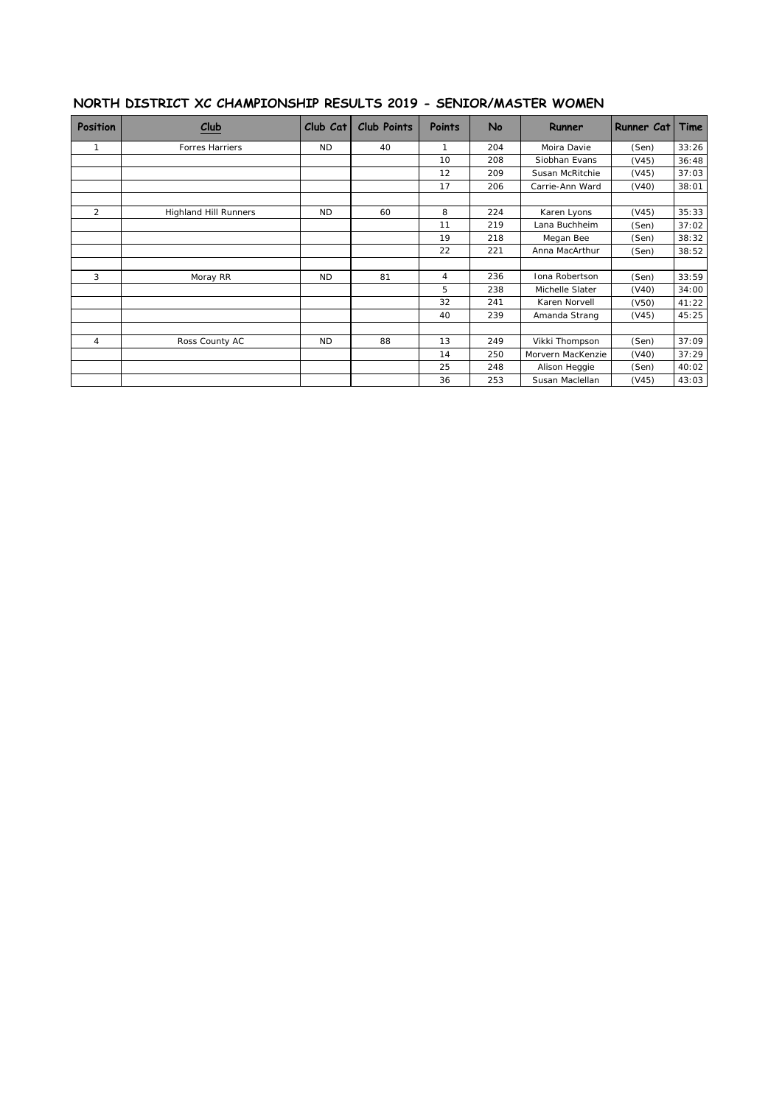#### **NORTH DISTRICT XC CHAMPIONSHIP RESULTS 2019 - SENIOR/MASTER WOMEN**

| <b>Position</b> | Club                         | Club Cat  | <b>Club Points</b> | <b>Points</b> | No  | Runner            | Runner Cat | Time  |
|-----------------|------------------------------|-----------|--------------------|---------------|-----|-------------------|------------|-------|
| 1               | Forres Harriers              | ND.       | 40                 | 1             | 204 | Moira Davie       | (Sen)      | 33:26 |
|                 |                              |           |                    | 10            | 208 | Siobhan Evans     | (V45)      | 36:48 |
|                 |                              |           |                    | 12            | 209 | Susan McRitchie   | (V45)      | 37:03 |
|                 |                              |           |                    | 17            | 206 | Carrie-Ann Ward   | (V40)      | 38:01 |
| $\overline{2}$  | <b>Highland Hill Runners</b> | <b>ND</b> | 60                 | 8             | 224 | Karen Lyons       | (V45)      | 35:33 |
|                 |                              |           |                    | 11            | 219 | Lana Buchheim     | (Sen)      | 37:02 |
|                 |                              |           |                    | 19            | 218 | Megan Bee         | (Sen)      | 38:32 |
|                 |                              |           |                    | 22            | 221 | Anna MacArthur    | (Sen)      | 38:52 |
| 3               | Moray RR                     | <b>ND</b> | 81                 | 4             | 236 | Iona Robertson    | (Sen)      | 33:59 |
|                 |                              |           |                    | 5             | 238 | Michelle Slater   | (V40)      | 34:00 |
|                 |                              |           |                    | 32            | 241 | Karen Norvell     | (V50)      | 41:22 |
|                 |                              |           |                    | 40            | 239 | Amanda Strang     | (V45)      | 45:25 |
| 4               | Ross County AC               | <b>ND</b> | 88                 | 13            | 249 | Vikki Thompson    | (Sen)      | 37:09 |
|                 |                              |           |                    | 14            | 250 | Morvern MacKenzie | (V40)      | 37:29 |
|                 |                              |           |                    | 25            | 248 | Alison Heggie     | (Sen)      | 40:02 |
|                 |                              |           |                    | 36            | 253 | Susan Maclellan   | (V45)      | 43:03 |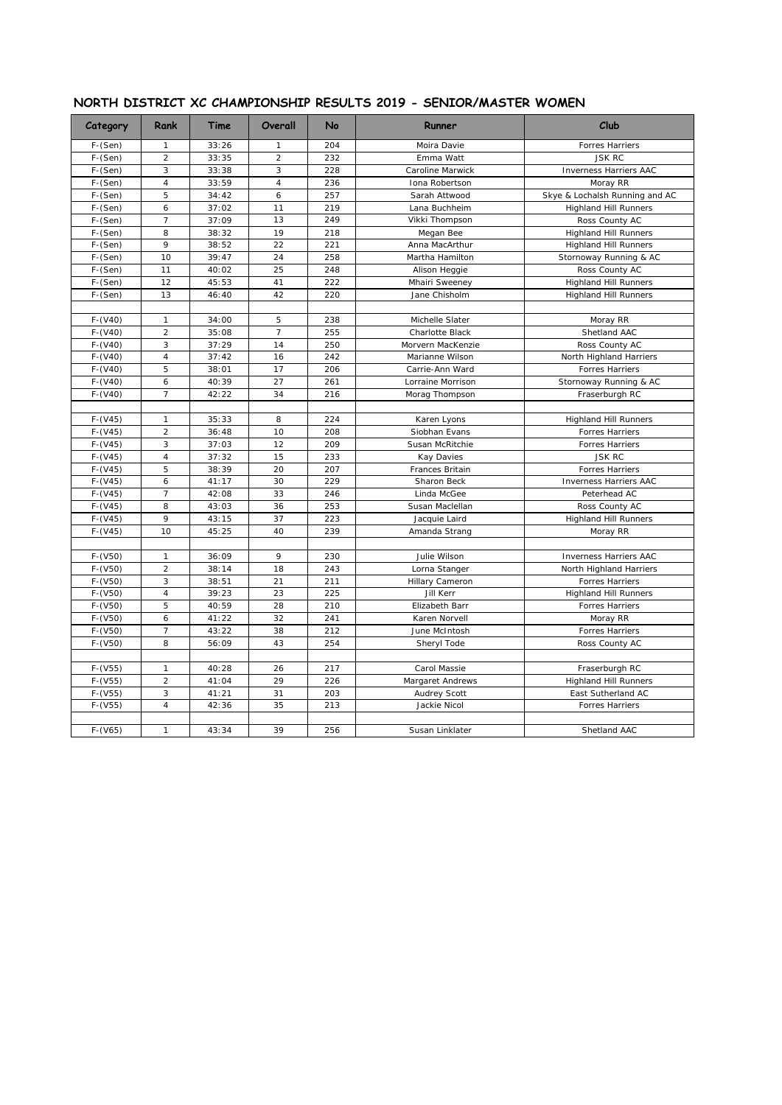| Category  | Rank           | Time  | Overall        | No  | Runner                 | Club                           |
|-----------|----------------|-------|----------------|-----|------------------------|--------------------------------|
| $F-(Sen)$ | 1              | 33:26 | 1              | 204 | Moira Davie            | Forres Harriers                |
| $F-(Sen)$ | $\overline{a}$ | 33:35 | $\overline{2}$ | 232 | Emma Watt              | <b>JSK RC</b>                  |
| $F-(Sen)$ | 3              | 33:38 | 3              | 228 | Caroline Marwick       | Inverness Harriers AAC         |
| F-(Sen)   | $\overline{4}$ | 33:59 | $\overline{4}$ | 236 | Iona Robertson         | Moray RR                       |
| F-(Sen)   | 5              | 34:42 | 6              | 257 | Sarah Attwood          | Skye & Lochalsh Running and AC |
| $F-(Sen)$ | 6              | 37:02 | 11             | 219 | Lana Buchheim          | <b>Highland Hill Runners</b>   |
| F-(Sen)   | $\overline{7}$ | 37:09 | 13             | 249 | Vikki Thompson         | Ross County AC                 |
| $F-(Sen)$ | 8              | 38:32 | 19             | 218 | Megan Bee              | <b>Highland Hill Runners</b>   |
| F-(Sen)   | 9              | 38:52 | 22             | 221 | Anna MacArthur         | <b>Highland Hill Runners</b>   |
| F-(Sen)   | 10             | 39:47 | 24             | 258 | Martha Hamilton        | Stornoway Running & AC         |
| F-(Sen)   | 11             | 40:02 | 25             | 248 | Alison Heggie          | Ross County AC                 |
| $F-(Sen)$ | 12             | 45:53 | 41             | 222 | Mhairi Sweeney         | <b>Highland Hill Runners</b>   |
| F-(Sen)   | 13             | 46:40 | 42             | 220 | Jane Chisholm          | <b>Highland Hill Runners</b>   |
|           |                |       |                |     |                        |                                |
| $F-(V40)$ | $\mathbf{1}$   | 34:00 | 5              | 238 | Michelle Slater        | Moray RR                       |
| $F-(V40)$ | $\overline{a}$ | 35:08 | $\overline{7}$ | 255 | <b>Charlotte Black</b> | Shetland AAC                   |
| $F-(V40)$ | 3              | 37:29 | 14             | 250 | Morvern MacKenzie      | Ross County AC                 |
| $F-(V40)$ | $\overline{4}$ | 37:42 | 16             | 242 | Marianne Wilson        | North Highland Harriers        |
| $F-(V40)$ | 5              | 38:01 | 17             | 206 | Carrie-Ann Ward        | Forres Harriers                |
| $F-(V40)$ | 6              | 40:39 | 27             | 261 | Lorraine Morrison      | Stornoway Running & AC         |
| $F-(V40)$ | $\overline{7}$ | 42:22 | 34             | 216 | Morag Thompson         | Fraserburgh RC                 |
|           |                |       |                |     |                        |                                |
| $F-(V45)$ | $\mathbf{1}$   | 35:33 | 8              | 224 | Karen Lyons            | <b>Highland Hill Runners</b>   |
| $F-(V45)$ | $\overline{a}$ | 36:48 | 10             | 208 | Siobhan Evans          | <b>Forres Harriers</b>         |
| $F-(V45)$ | 3              | 37:03 | 12             | 209 | Susan McRitchie        | Forres Harriers                |
| $F-(V45)$ | $\overline{4}$ | 37:32 | 15             | 233 | <b>Kay Davies</b>      | <b>JSK RC</b>                  |
| $F-(V45)$ | 5              | 38:39 | 20             | 207 | Frances Britain        | Forres Harriers                |
| $F-(V45)$ | 6              | 41:17 | 30             | 229 | Sharon Beck            | <b>Inverness Harriers AAC</b>  |
| $F-(V45)$ | $\overline{7}$ | 42:08 | 33             | 246 | Linda McGee            | Peterhead AC                   |
| $F-(V45)$ | 8              | 43:03 | 36             | 253 | Susan Maclellan        | Ross County AC                 |
| $F-(V45)$ | 9              | 43:15 | 37             | 223 | Jacquie Laird          | <b>Highland Hill Runners</b>   |
| $F-(V45)$ | 10             | 45:25 | 40             | 239 | Amanda Strang          | Moray RR                       |
|           |                |       |                |     |                        |                                |
| $F-(V50)$ | $\mathbf{1}$   | 36:09 | 9              | 230 | Julie Wilson           | Inverness Harriers AAC         |
| $F-(V50)$ | $\overline{2}$ | 38:14 | 18             | 243 | Lorna Stanger          | North Highland Harriers        |
| $F-(V50)$ | 3              | 38:51 | 21             | 211 | Hillary Cameron        | Forres Harriers                |
| $F-(V50)$ | $\overline{4}$ | 39:23 | 23             | 225 | Jill Kerr              | <b>Highland Hill Runners</b>   |
| $F-(V50)$ | 5              | 40:59 | 28             | 210 | Elizabeth Barr         | Forres Harriers                |
| $F-(V50)$ | 6              | 41:22 | 32             | 241 | Karen Norvell          | Moray RR                       |
| $F-(V50)$ | $\overline{7}$ | 43:22 | 38             | 212 | June McIntosh          | Forres Harriers                |
| $F-(V50)$ | 8              | 56:09 | 43             | 254 | Sheryl Tode            | Ross County AC                 |
|           |                |       |                |     |                        |                                |
| $F-(V55)$ | $\mathbf{1}$   | 40:28 | 26             | 217 | Carol Massie           | Fraserburgh RC                 |
| $F-(V55)$ | $\overline{a}$ | 41:04 | 29             | 226 |                        | <b>Highland Hill Runners</b>   |
|           | 3              |       |                |     | Margaret Andrews       |                                |
| $F-(V55)$ | $\overline{4}$ | 41:21 | 31             | 203 | Audrey Scott           | East Sutherland AC             |
| $F-(V55)$ |                | 42:36 | 35             | 213 | Jackie Nicol           | Forres Harriers                |
|           |                |       |                |     |                        |                                |
| $F-(V65)$ | $\mathbf{1}$   | 43:34 | 39             | 256 | Susan Linklater        | Shetland AAC                   |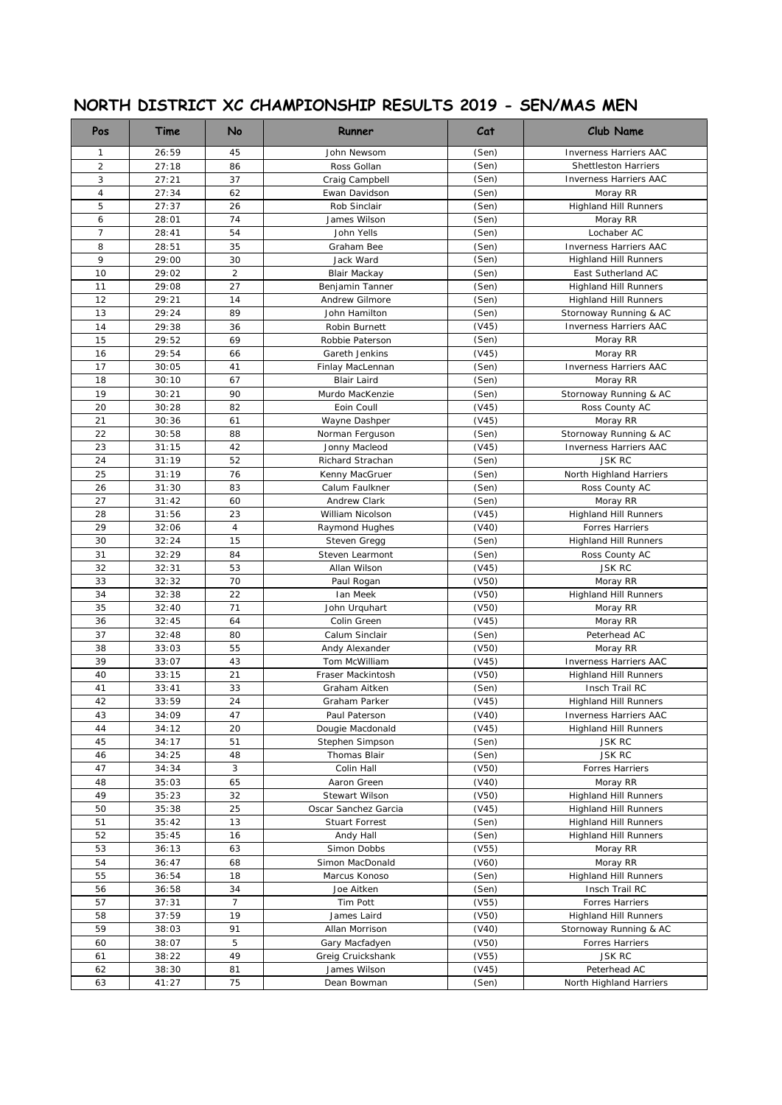# **NORTH DISTRICT XC CHAMPIONSHIP RESULTS 2019 - SEN/MAS MEN**

| <b>Pos</b>     | Time           | No             | Runner                             | Cat            | Club Name                                              |
|----------------|----------------|----------------|------------------------------------|----------------|--------------------------------------------------------|
| $\mathbf{1}$   | 26:59          | 45             | John Newsom                        | (Sen)          | <b>Inverness Harriers AAC</b>                          |
| $\overline{c}$ | 27:18          | 86             | Ross Gollan                        | (Sen)          | <b>Shettleston Harriers</b>                            |
| 3              | 27:21          | 37             | Craig Campbell                     | (Sen)          | <b>Inverness Harriers AAC</b>                          |
| $\overline{4}$ | 27:34          | 62             | Ewan Davidson                      | (Sen)          | Moray RR                                               |
| 5              | 27:37          | 26             | Rob Sinclair                       | (Sen)          | <b>Highland Hill Runners</b>                           |
| 6              | 28:01          | 74             | James Wilson                       | (Sen)          | Moray RR                                               |
| $\overline{7}$ | 28:41          | 54             | John Yells                         | (Sen)          | Lochaber AC                                            |
| 8              | 28:51          | 35             | Graham Bee                         | (Sen)          | <b>Inverness Harriers AAC</b>                          |
| 9              | 29:00          | 30             | Jack Ward                          | (Sen)          | <b>Highland Hill Runners</b>                           |
| 10             | 29:02          | $\overline{2}$ | Blair Mackay                       | (Sen)          | East Sutherland AC                                     |
| 11             | 29:08          | 27             | Benjamin Tanner                    | (Sen)          | <b>Highland Hill Runners</b>                           |
| 12             | 29:21          | 14             | Andrew Gilmore                     | (Sen)          | <b>Highland Hill Runners</b>                           |
| 13             | 29:24          | 89             | John Hamilton                      | (Sen)          | Stornoway Running & AC                                 |
| 14             | 29:38          | 36             | Robin Burnett                      | (V45)          | Inverness Harriers AAC                                 |
| 15             | 29:52          | 69             | Robbie Paterson                    | (Sen)          | Moray RR                                               |
| 16             | 29:54          | 66             | Gareth Jenkins                     | (V45)          | Moray RR                                               |
| 17             | 30:05          | 41             | Finlay MacLennan                   | (Sen)          | Inverness Harriers AAC                                 |
| 18             | 30:10          | 67             | <b>Blair Laird</b>                 | (Sen)          | Moray RR                                               |
| 19             | 30:21          | 90             | Murdo MacKenzie                    | (Sen)          | Stornoway Running & AC                                 |
| 20             | 30:28          | 82             | Eoin Coull                         | (V45)          | Ross County AC                                         |
| 21             | 30:36          | 61             | Wayne Dashper                      | (V45)          | Moray RR                                               |
| 22             | 30:58          | 88             | Norman Ferguson                    | (Sen)          | Stornoway Running & AC                                 |
| 23             | 31:15          | 42             | Jonny Macleod                      | (V45)          | <b>Inverness Harriers AAC</b>                          |
| 24             | 31:19          | 52             | Richard Strachan                   | (Sen)          | <b>JSK RC</b>                                          |
| 25             | 31:19          | 76             | Kenny MacGruer                     | (Sen)          | North Highland Harriers                                |
| 26             | 31:30          | 83             | Calum Faulkner                     | (Sen)          | Ross County AC                                         |
| 27             | 31:42          | 60             | Andrew Clark                       | (Sen)          | Moray RR                                               |
| 28             | 31:56          | 23             | William Nicolson                   | (V45)          | <b>Highland Hill Runners</b>                           |
| 29             | 32:06          | 4              | Raymond Hughes                     | (V40)          | <b>Forres Harriers</b>                                 |
| 30             | 32:24          | 15             | Steven Gregg                       | (Sen)          | <b>Highland Hill Runners</b>                           |
| 31             | 32:29          | 84             | Steven Learmont                    | (Sen)          | Ross County AC                                         |
| 32             | 32:31          | 53             | Allan Wilson                       | (V45)          | <b>JSK RC</b>                                          |
| 33             | 32:32          | 70             | Paul Rogan                         | (V50)          | Moray RR                                               |
| 34             | 32:38          | 22             | Ian Meek                           | (V50)          | <b>Highland Hill Runners</b>                           |
| 35             | 32:40          | 71             | John Urquhart                      | (V50)          | Moray RR                                               |
| 36             | 32:45          | 64             | Colin Green                        | (V45)          | Moray RR                                               |
| 37             | 32:48          | 80             | Calum Sinclair                     | (Sen)          | Peterhead AC                                           |
| 38             | 33:03          | 55             | Andy Alexander                     | (V50)          | Moray RR                                               |
| 39             | 33:07          | 43             | Tom McWilliam                      | (V45)          | <b>Inverness Harriers AAC</b>                          |
| 40             | 33:15          | 21             | Fraser Mackintosh<br>Graham Aitken | (V50)          | <b>Highland Hill Runners</b>                           |
| 41<br>42       | 33:41          | 33<br>24       | Graham Parker                      | (Sen)          | Insch Trail RC                                         |
| 43             | 33:59<br>34:09 | 47             | Paul Paterson                      | (V45)<br>(V40) | <b>Highland Hill Runners</b>                           |
| 44             | 34:12          | 20             | Dougie Macdonald                   | (V45)          | Inverness Harriers AAC<br><b>Highland Hill Runners</b> |
| 45             | 34:17          | 51             | Stephen Simpson                    | (Sen)          | <b>JSK RC</b>                                          |
| 46             | 34:25          | 48             | Thomas Blair                       | (Sen)          | <b>JSK RC</b>                                          |
| 47             | 34:34          | 3              | Colin Hall                         | (V50)          | Forres Harriers                                        |
| 48             | 35:03          | 65             | Aaron Green                        | (V40)          | Moray RR                                               |
| 49             | 35:23          | 32             | Stewart Wilson                     | (V50)          | <b>Highland Hill Runners</b>                           |
| 50             | 35:38          | 25             | Oscar Sanchez Garcia               | (V45)          | <b>Highland Hill Runners</b>                           |
| 51             | 35:42          | 13             | Stuart Forrest                     | (Sen)          | <b>Highland Hill Runners</b>                           |
| 52             | 35:45          | 16             | Andy Hall                          | (Sen)          | <b>Highland Hill Runners</b>                           |
| 53             | 36:13          | 63             | Simon Dobbs                        | (V55)          | Moray RR                                               |
| 54             | 36:47          | 68             | Simon MacDonald                    | (V60)          | Moray RR                                               |
| 55             | 36:54          | 18             | Marcus Konoso                      | (Sen)          | <b>Highland Hill Runners</b>                           |
| 56             | 36:58          | 34             | Joe Aitken                         | (Sen)          | Insch Trail RC                                         |
| 57             | 37:31          | $\overline{7}$ | Tim Pott                           | (V55)          | Forres Harriers                                        |
| 58             | 37:59          | 19             | James Laird                        | (V50)          | <b>Highland Hill Runners</b>                           |
| 59             | 38:03          | 91             | Allan Morrison                     | (V40)          | Stornoway Running & AC                                 |
| 60             | 38:07          | 5              | Gary Macfadyen                     | (V50)          | Forres Harriers                                        |
| 61             | 38:22          | 49             | Greig Cruickshank                  | (V55)          | <b>JSK RC</b>                                          |
| 62             | 38:30          | 81             | James Wilson                       | (V45)          | Peterhead AC                                           |
| 63             | 41:27          | 75             | Dean Bowman                        | (Sen)          | North Highland Harriers                                |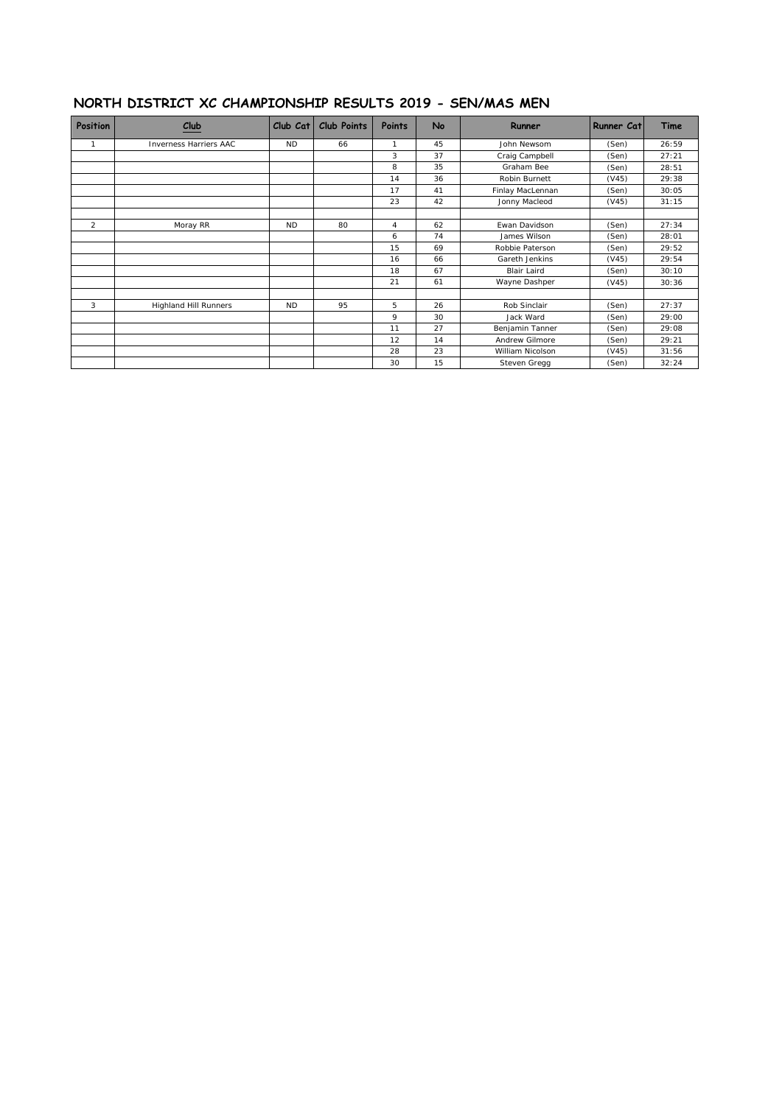#### **NORTH DISTRICT XC CHAMPIONSHIP RESULTS 2019 - SEN/MAS MEN**

| Position | $_{\text{Club}}$              | Club Cat  | <b>Club Points</b> | Points | No | Runner             | Runner Cat | Time  |
|----------|-------------------------------|-----------|--------------------|--------|----|--------------------|------------|-------|
| 1        | <b>Inverness Harriers AAC</b> | <b>ND</b> | 66                 |        | 45 | John Newsom        | (Sen)      | 26:59 |
|          |                               |           |                    | 3      | 37 | Craig Campbell     | (Sen)      | 27:21 |
|          |                               |           |                    | 8      | 35 | Graham Bee         | (Sen)      | 28:51 |
|          |                               |           |                    | 14     | 36 | Robin Burnett      | (V45)      | 29:38 |
|          |                               |           |                    | 17     | 41 | Finlay MacLennan   | (Sen)      | 30:05 |
|          |                               |           |                    | 23     | 42 | Jonny Macleod      | (V45)      | 31:15 |
| 2        | Moray RR                      | <b>ND</b> | 80                 | 4      | 62 | Ewan Davidson      | (Sen)      | 27:34 |
|          |                               |           |                    | 6      | 74 | James Wilson       | (Sen)      | 28:01 |
|          |                               |           |                    | 15     | 69 | Robbie Paterson    | (Sen)      | 29:52 |
|          |                               |           |                    | 16     | 66 | Gareth Jenkins     | (V45)      | 29:54 |
|          |                               |           |                    | 18     | 67 | <b>Blair Laird</b> | (Sen)      | 30:10 |
|          |                               |           |                    | 21     | 61 | Wayne Dashper      | (V45)      | 30:36 |
| 3        | <b>Highland Hill Runners</b>  | <b>ND</b> | 95                 | 5      | 26 | Rob Sinclair       | (Sen)      | 27:37 |
|          |                               |           |                    | 9      | 30 | Jack Ward          | (Sen)      | 29:00 |
|          |                               |           |                    | 11     | 27 | Benjamin Tanner    | (Sen)      | 29:08 |
|          |                               |           |                    | 12     | 14 | Andrew Gilmore     | (Sen)      | 29:21 |
|          |                               |           |                    | 28     | 23 | William Nicolson   | (V45)      | 31:56 |
|          |                               |           |                    | 30     | 15 | Steven Gregg       | (Sen)      | 32:24 |